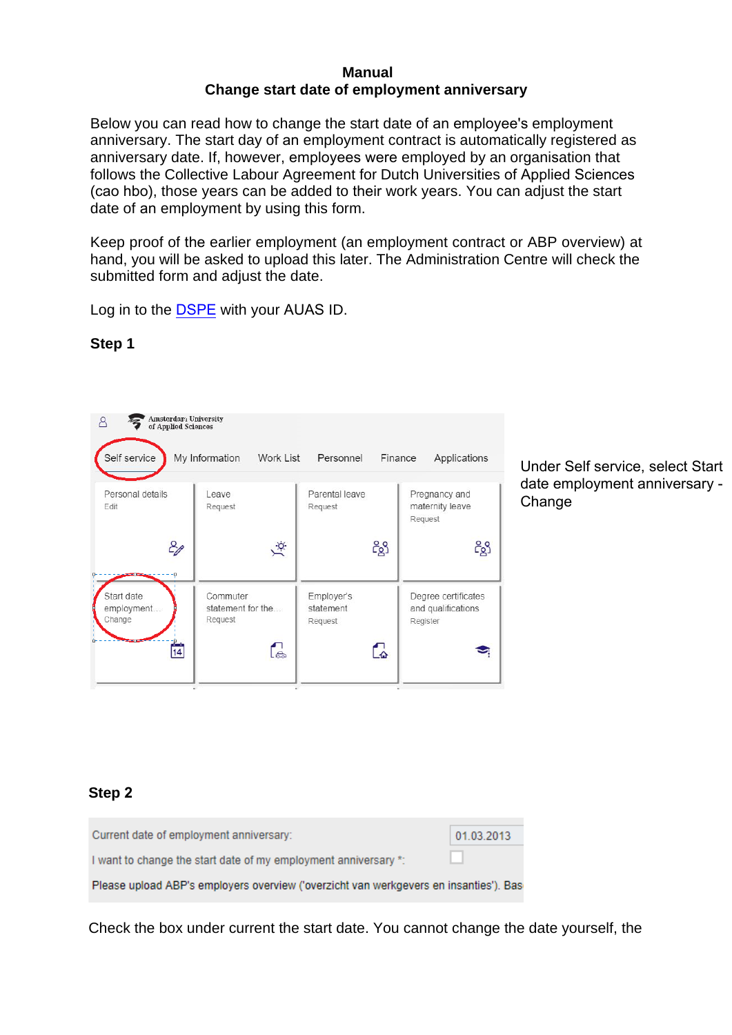#### **Manual Change start date of employment anniversary**

Below you can read how to change the start date of an employee's employment anniversary. The start day of an employment contract is automatically registered as anniversary date. If, however, employees were employed by an organisation that follows the Collective Labour Agreement for Dutch Universities of Applied Sciences (cao hbo), those years can be added to their work years. You can adjust the start date of an employment by using this form.

Keep proof of the earlier employment (an employment contract or ABP overview) at hand, you will be asked to upload this later. The Administration Centre will check the submitted form and adjust the date.

Log in to the DSPE with your AUAS ID.

| <b>Amsterdart University</b><br>Α<br>of Applied Sciences<br>Self service | My Information<br>Work List                     | Personnel                                | Finance<br>Applications                               |
|--------------------------------------------------------------------------|-------------------------------------------------|------------------------------------------|-------------------------------------------------------|
| Personal details<br>Edit                                                 | Leave<br>Request<br>$\overline{Q}$              | Parental leave<br>Request<br>ငိဇ္ဆိ      | Pregnancy and<br>maternity leave<br>Request<br>ငိ8္ခါ |
| Start date<br>employment<br>Change<br>14                                 | Commuter<br>statement for the<br>Request<br>်ခဲ | Employer's<br>statement<br>Request<br>r. | Degree certificates<br>and qualifications<br>Register |

## **Step 1**

Under Self service, select Start date employment anniversary - **Change** 

# **Step 2**

| Current date of employment anniversary:                                               | 01.03.2013 |
|---------------------------------------------------------------------------------------|------------|
| I want to change the start date of my employment anniversary *:                       |            |
| Please upload ABP's employers overview ('overzicht van werkgevers en insanties'). Bas |            |

Check the box under current the start date. You cannot change the date yourself, the